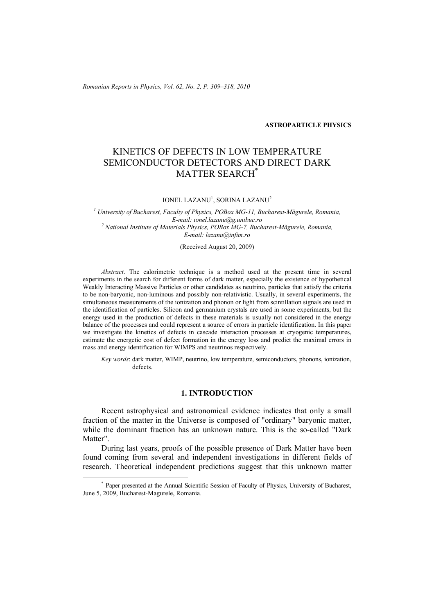*Romanian Reports in Physics, Vol. 62, No. 2, P. 309–318, 2010*

#### **ASTROPARTICLE PHYSICS**

# KINETICS OF DEFECTS IN LOW TEMPERATURE SEMICONDUCTOR DETECTORS AND DIRECT DARK MATTER SEARCH\*

 $IONEL$  LAZANU<sup>1</sup>, SORINA LAZANU<sup>2</sup>

*1 University of Bucharest, Faculty of Physics, POBox MG-11, Bucharest-Măgurele, Romania, E-mail: ionel.lazanu@g.unibuc.ro 2 National Institute of Materials Physics, POBox MG-7, Bucharest-Măgurele, Romania, E-mail: lazanu@infim.ro* 

(Received August 20, 2009)

*Abstract*. The calorimetric technique is a method used at the present time in several experiments in the search for different forms of dark matter, especially the existence of hypothetical Weakly Interacting Massive Particles or other candidates as neutrino, particles that satisfy the criteria to be non-baryonic, non-luminous and possibly non-relativistic. Usually, in several experiments, the simultaneous measurements of the ionization and phonon or light from scintillation signals are used in the identification of particles. Silicon and germanium crystals are used in some experiments, but the energy used in the production of defects in these materials is usually not considered in the energy balance of the processes and could represent a source of errors in particle identification. In this paper we investigate the kinetics of defects in cascade interaction processes at cryogenic temperatures, estimate the energetic cost of defect formation in the energy loss and predict the maximal errors in mass and energy identification for WIMPS and neutrinos respectively.

*Key words*: dark matter, WIMP, neutrino, low temperature, semiconductors, phonons, ionization, defects.

## **1. INTRODUCTION**

Recent astrophysical and astronomical evidence indicates that only a small fraction of the matter in the Universe is composed of "ordinary" baryonic matter, while the dominant fraction has an unknown nature. This is the so-called "Dark Matter".

During last years, proofs of the possible presence of Dark Matter have been found coming from several and independent investigations in different fields of research. Theoretical independent predictions suggest that this unknown matter

 <sup>\*</sup> Paper presented at the Annual Scientific Session of Faculty of Physics, University of Bucharest, June 5, 2009, Bucharest-Magurele, Romania.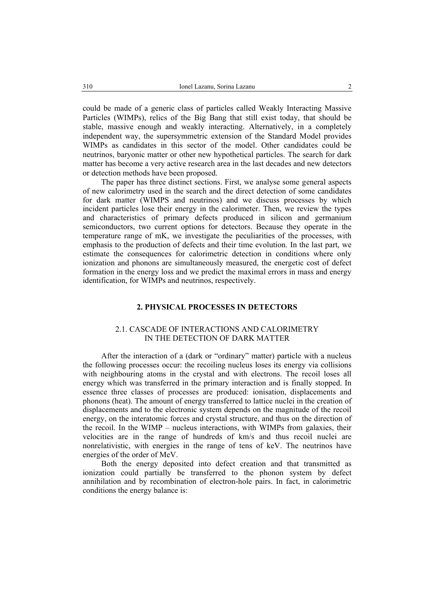could be made of a generic class of particles called Weakly Interacting Massive Particles (WIMPs), relics of the Big Bang that still exist today, that should be stable, massive enough and weakly interacting. Alternatively, in a completely independent way, the supersymmetric extension of the Standard Model provides WIMPs as candidates in this sector of the model. Other candidates could be neutrinos, baryonic matter or other new hypothetical particles. The search for dark matter has become a very active research area in the last decades and new detectors or detection methods have been proposed.

The paper has three distinct sections. First, we analyse some general aspects of new calorimetry used in the search and the direct detection of some candidates for dark matter (WIMPS and neutrinos) and we discuss processes by which incident particles lose their energy in the calorimeter. Then, we review the types and characteristics of primary defects produced in silicon and germanium semiconductors, two current options for detectors. Because they operate in the temperature range of mK, we investigate the peculiarities of the processes, with emphasis to the production of defects and their time evolution. In the last part, we estimate the consequences for calorimetric detection in conditions where only ionization and phonons are simultaneously measured, the energetic cost of defect formation in the energy loss and we predict the maximal errors in mass and energy identification, for WIMPs and neutrinos, respectively.

### **2. PHYSICAL PROCESSES IN DETECTORS**

### 2.1. CASCADE OF INTERACTIONS AND CALORIMETRY IN THE DETECTION OF DARK MATTER

After the interaction of a (dark or "ordinary" matter) particle with a nucleus the following processes occur: the recoiling nucleus loses its energy via collisions with neighbouring atoms in the crystal and with electrons. The recoil loses all energy which was transferred in the primary interaction and is finally stopped. In essence three classes of processes are produced: ionisation, displacements and phonons (heat). The amount of energy transferred to lattice nuclei in the creation of displacements and to the electronic system depends on the magnitude of the recoil energy, on the interatomic forces and crystal structure, and thus on the direction of the recoil. In the WIMP – nucleus interactions, with WIMPs from galaxies, their velocities are in the range of hundreds of km/s and thus recoil nuclei are nonrelativistic, with energies in the range of tens of keV. The neutrinos have energies of the order of MeV.

Both the energy deposited into defect creation and that transmitted as ionization could partially be transferred to the phonon system by defect annihilation and by recombination of electron-hole pairs. In fact, in calorimetric conditions the energy balance is: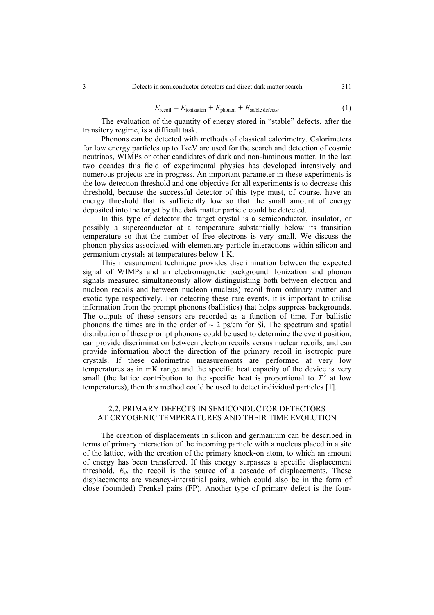$$
E_{\text{recoil}} = E_{\text{ionization}} + E_{\text{phonon}} + E_{\text{stable defects}}.\tag{1}
$$

The evaluation of the quantity of energy stored in "stable" defects, after the transitory regime, is a difficult task.

Phonons can be detected with methods of classical calorimetry. Calorimeters for low energy particles up to 1keV are used for the search and detection of cosmic neutrinos, WIMPs or other candidates of dark and non-luminous matter. In the last two decades this field of experimental physics has developed intensively and numerous projects are in progress. An important parameter in these experiments is the low detection threshold and one objective for all experiments is to decrease this threshold, because the successful detector of this type must, of course, have an energy threshold that is sufficiently low so that the small amount of energy deposited into the target by the dark matter particle could be detected.

In this type of detector the target crystal is a semiconductor, insulator, or possibly a superconductor at a temperature substantially below its transition temperature so that the number of free electrons is very small. We discuss the phonon physics associated with elementary particle interactions within silicon and germanium crystals at temperatures below 1 K.

This measurement technique provides discrimination between the expected signal of WIMPs and an electromagnetic background. Ionization and phonon signals measured simultaneously allow distinguishing both between electron and nucleon recoils and between nucleon (nucleus) recoil from ordinary matter and exotic type respectively. For detecting these rare events, it is important to utilise information from the prompt phonons (ballistics) that helps suppress backgrounds. The outputs of these sensors are recorded as a function of time. For ballistic phonons the times are in the order of  $\sim$  2 ps/cm for Si. The spectrum and spatial distribution of these prompt phonons could be used to determine the event position, can provide discrimination between electron recoils versus nuclear recoils, and can provide information about the direction of the primary recoil in isotropic pure crystals. If these calorimetric measurements are performed at very low temperatures as in mK range and the specific heat capacity of the device is very small (the lattice contribution to the specific heat is proportional to  $T<sup>3</sup>$  at low temperatures), then this method could be used to detect individual particles [1].

# 2.2. PRIMARY DEFECTS IN SEMICONDUCTOR DETECTORS AT CRYOGENIC TEMPERATURES AND THEIR TIME EVOLUTION

The creation of displacements in silicon and germanium can be described in terms of primary interaction of the incoming particle with a nucleus placed in a site of the lattice, with the creation of the primary knock-on atom, to which an amount of energy has been transferred. If this energy surpasses a specific displacement threshold,  $E_d$ , the recoil is the source of a cascade of displacements. These displacements are vacancy-interstitial pairs, which could also be in the form of close (bounded) Frenkel pairs (FP). Another type of primary defect is the four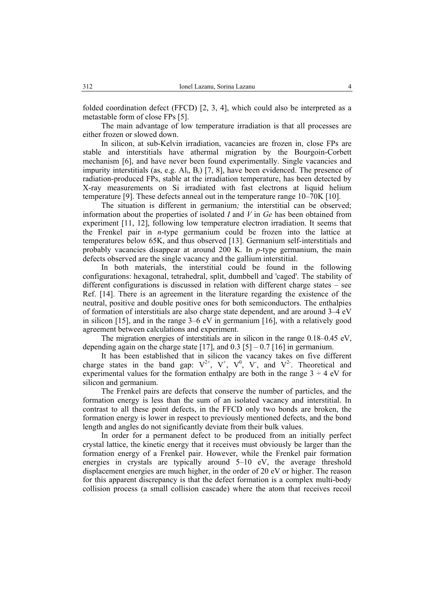folded coordination defect (FFCD) [2, 3, 4], which could also be interpreted as a metastable form of close FPs [5].

The main advantage of low temperature irradiation is that all processes are either frozen or slowed down.

In silicon, at sub-Kelvin irradiation, vacancies are frozen in, close FPs are stable and interstitials have athermal migration by the Bourgoin-Corbett mechanism [6], and have never been found experimentally. Single vacancies and impurity interstitials (as, e.g.  $Al_i$ ,  $B_i$ ) [7, 8], have been evidenced. The presence of radiation-produced FPs, stable at the irradiation temperature, has been detected by X-ray measurements on Si irradiated with fast electrons at liquid helium temperature [9]. These defects anneal out in the temperature range 10–70K [10].

The situation is different in germanium*;* the interstitial can be observed; information about the properties of isolated *I* and *V* in *Ge* has been obtained from experiment [11, 12], following low temperature electron irradiation. It seems that the Frenkel pair in *n*-type germanium could be frozen into the lattice at temperatures below 65K, and thus observed [13]. Germanium self-interstitials and probably vacancies disappear at around 200 K. In *p*-type germanium, the main defects observed are the single vacancy and the gallium interstitial.

In both materials, the interstitial could be found in the following configurations: hexagonal, tetrahedral, split, dumbbell and 'caged'. The stability of different configurations is discussed in relation with different charge states – see Ref. [14]. There is an agreement in the literature regarding the existence of the neutral, positive and double positive ones for both semiconductors. The enthalpies of formation of interstitials are also charge state dependent, and are around 3–4 eV in silicon [15], and in the range  $3-6$  eV in germanium [16], with a relatively good agreement between calculations and experiment.

The migration energies of interstitials are in silicon in the range 0.18–0.45 eV, depending again on the charge state [17], and  $0.3$  [5] –  $0.7$  [16] in germanium.

It has been established that in silicon the vacancy takes on five different charge states in the band gap:  $V^{2+}$ ,  $V^{+}$ ,  $V^{0}$ ,  $V^{-}$ , and  $V^{2}$ . Theoretical and experimental values for the formation enthalpy are both in the range  $3 \div 4$  eV for silicon and germanium.

The Frenkel pairs are defects that conserve the number of particles, and the formation energy is less than the sum of an isolated vacancy and interstitial. In contrast to all these point defects, in the FFCD only two bonds are broken, the formation energy is lower in respect to previously mentioned defects, and the bond length and angles do not significantly deviate from their bulk values.

In order for a permanent defect to be produced from an initially perfect crystal lattice, the kinetic energy that it receives must obviously be larger than the formation energy of a Frenkel pair. However, while the Frenkel pair formation energies in crystals are typically around 5–10 eV, the average threshold displacement energies are much higher, in the order of 20 eV or higher. The reason for this apparent discrepancy is that the defect formation is a complex multi-body collision process (a small collision cascade) where the atom that receives recoil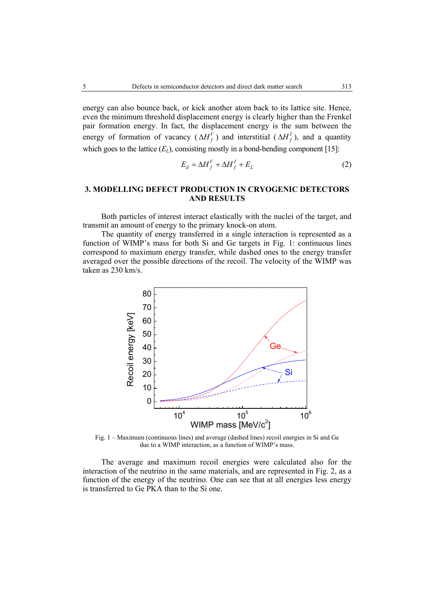energy can also bounce back, or kick another atom back to its lattice site. Hence, even the minimum threshold displacement energy is clearly higher than the Frenkel pair formation energy. In fact, the displacement energy is the sum between the energy of formation of vacancy ( $\Delta H_f^V$ ) and interstitial ( $\Delta H_f^I$ ), and a quantity which goes to the lattice  $(E_L)$ , consisting mostly in a bond-bending component [15]:

$$
E_d = \Delta H_f^V + \Delta H_f^I + E_L \tag{2}
$$

# **3. MODELLING DEFECT PRODUCTION IN CRYOGENIC DETECTORS AND RESULTS**

Both particles of interest interact elastically with the nuclei of the target, and transmit an amount of energy to the primary knock-on atom.

The quantity of energy transferred in a single interaction is represented as a function of WIMP's mass for both Si and Ge targets in Fig. 1: continuous lines correspond to maximum energy transfer, while dashed ones to the energy transfer averaged over the possible directions of the recoil. The velocity of the WIMP was taken as 230 km/s.



Fig. 1 – Maximum (continuous lines) and average (dashed lines) recoil energies in Si and Ge due to a WIMP interaction, as a function of WIMP's mass.

The average and maximum recoil energies were calculated also for the interaction of the neutrino in the same materials, and are represented in Fig. 2, as a function of the energy of the neutrino. One can see that at all energies less energy is transferred to Ge PKA than to the Si one.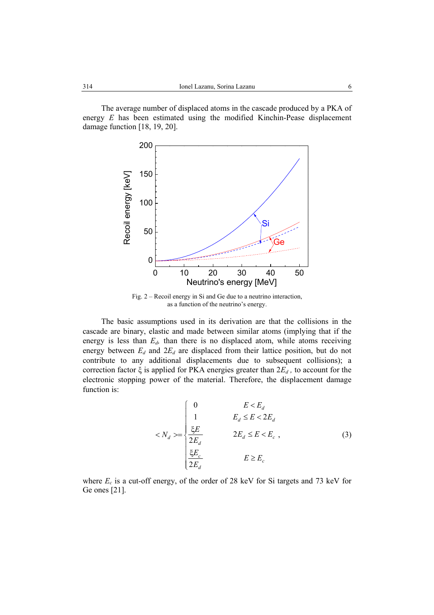The average number of displaced atoms in the cascade produced by a PKA of energy *E* has been estimated using the modified Kinchin-Pease displacement damage function [18, 19, 20].



Fig. 2 – Recoil energy in Si and Ge due to a neutrino interaction, as a function of the neutrino's energy.

The basic assumptions used in its derivation are that the collisions in the cascade are binary, elastic and made between similar atoms (implying that if the energy is less than  $E<sub>d</sub>$ , than there is no displaced atom, while atoms receiving energy between  $E_d$  and  $2E_d$  are displaced from their lattice position, but do not contribute to any additional displacements due to subsequent collisions); a correction factor  $\xi$  is applied for PKA energies greater than  $2E_d$ , to account for the electronic stopping power of the material. Therefore, the displacement damage function is:

$$
\langle N_d \rangle = \begin{cases}\n0 & E < E_d \\
1 & E_d \le E < 2E_d \\
\frac{\xi E}{2E_d} & 2E_d \le E < E_c\n\end{cases},\n\tag{3}
$$

where  $E_c$  is a cut-off energy, of the order of 28 keV for Si targets and 73 keV for Ge ones [21].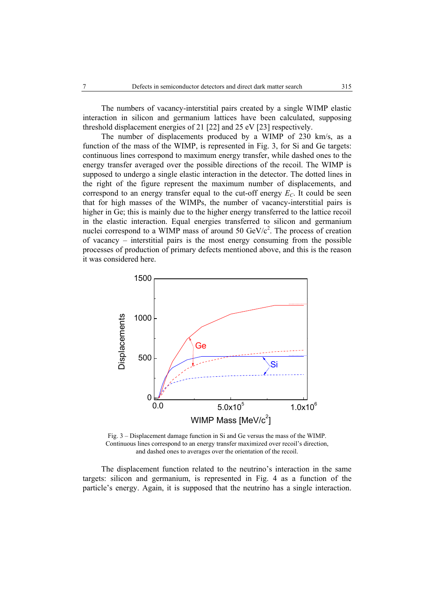The numbers of vacancy-interstitial pairs created by a single WIMP elastic interaction in silicon and germanium lattices have been calculated, supposing threshold displacement energies of 21 [22] and 25 eV [23] respectively.

The number of displacements produced by a WIMP of 230 km/s, as a function of the mass of the WIMP, is represented in Fig. 3, for Si and Ge targets: continuous lines correspond to maximum energy transfer, while dashed ones to the energy transfer averaged over the possible directions of the recoil. The WIMP is supposed to undergo a single elastic interaction in the detector. The dotted lines in the right of the figure represent the maximum number of displacements, and correspond to an energy transfer equal to the cut-off energy  $E<sub>C</sub>$ . It could be seen that for high masses of the WIMPs, the number of vacancy-interstitial pairs is higher in Ge; this is mainly due to the higher energy transferred to the lattice recoil in the elastic interaction. Equal energies transferred to silicon and germanium nuclei correspond to a WIMP mass of around 50  $GeV/c^2$ . The process of creation of vacancy – interstitial pairs is the most energy consuming from the possible processes of production of primary defects mentioned above, and this is the reason it was considered here.



Fig. 3 – Displacement damage function in Si and Ge versus the mass of the WIMP. Continuous lines correspond to an energy transfer maximized over recoil's direction, and dashed ones to averages over the orientation of the recoil.

The displacement function related to the neutrino's interaction in the same targets: silicon and germanium, is represented in Fig. 4 as a function of the particle's energy. Again, it is supposed that the neutrino has a single interaction.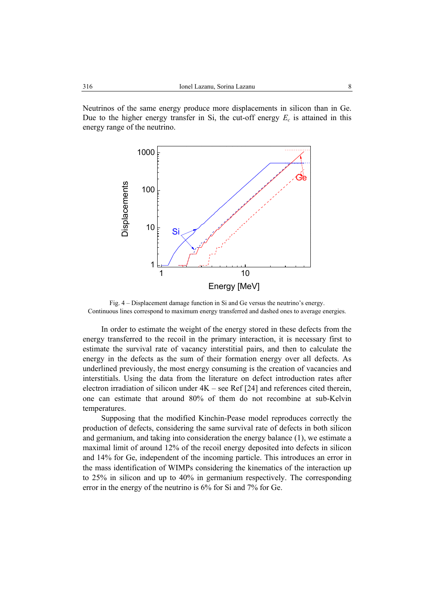Neutrinos of the same energy produce more displacements in silicon than in Ge. Due to the higher energy transfer in Si, the cut-off energy  $E_c$  is attained in this energy range of the neutrino.



Fig. 4 – Displacement damage function in Si and Ge versus the neutrino's energy. Continuous lines correspond to maximum energy transferred and dashed ones to average energies.

In order to estimate the weight of the energy stored in these defects from the energy transferred to the recoil in the primary interaction, it is necessary first to estimate the survival rate of vacancy interstitial pairs, and then to calculate the energy in the defects as the sum of their formation energy over all defects. As underlined previously, the most energy consuming is the creation of vacancies and interstitials. Using the data from the literature on defect introduction rates after electron irradiation of silicon under  $4K$  – see Ref [24] and references cited therein, one can estimate that around 80% of them do not recombine at sub-Kelvin temperatures.

Supposing that the modified Kinchin-Pease model reproduces correctly the production of defects, considering the same survival rate of defects in both silicon and germanium, and taking into consideration the energy balance (1), we estimate a maximal limit of around 12% of the recoil energy deposited into defects in silicon and 14% for Ge, independent of the incoming particle. This introduces an error in the mass identification of WIMPs considering the kinematics of the interaction up to 25% in silicon and up to 40% in germanium respectively. The corresponding error in the energy of the neutrino is 6% for Si and 7% for Ge.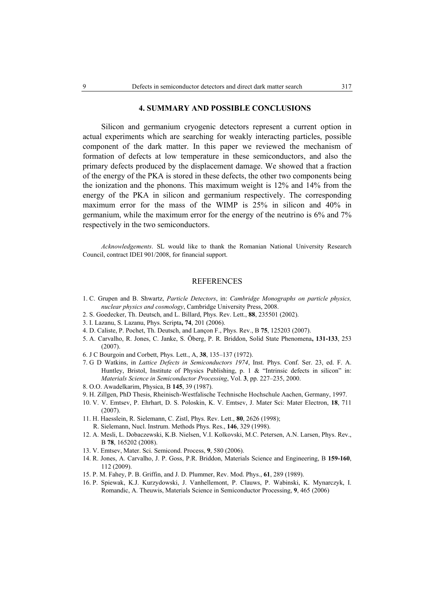#### **4. SUMMARY AND POSSIBLE CONCLUSIONS**

Silicon and germanium cryogenic detectors represent a current option in actual experiments which are searching for weakly interacting particles, possible component of the dark matter. In this paper we reviewed the mechanism of formation of defects at low temperature in these semiconductors, and also the primary defects produced by the displacement damage. We showed that a fraction of the energy of the PKA is stored in these defects, the other two components being the ionization and the phonons. This maximum weight is 12% and 14% from the energy of the PKA in silicon and germanium respectively. The corresponding maximum error for the mass of the WIMP is 25% in silicon and 40% in germanium, while the maximum error for the energy of the neutrino is 6% and 7% respectively in the two semiconductors.

*Acknowledgements*. SL would like to thank the Romanian National University Research Council, contract IDEI 901/2008, for financial support.

#### REFERENCES

- 1. C. Grupen and B. Shwartz, *Particle Detectors*, in: *Cambridge Monographs on particle physics, nuclear physics and cosmology*, Cambridge University Press, 2008.
- 2. S. Goedecker, Th. Deutsch, and L. Billard, Phys. Rev. Lett., **88**, 235501 (2002).
- 3. I. Lazanu, S. Lazanu, Phys. Scripta**, 74**, 201 (2006).
- 4. D. Caliste, P. Pochet, Th. Deutsch, and Lançon F., Phys. Rev., B **75**, 125203 (2007).
- 5. A. Carvalho, R. Jones, C. Janke, S. Öberg, P. R. Briddon, Solid State Phenomena**, 131-133**, 253 (2007).
- 6. J C Bourgoin and Corbett, Phys. Lett., A, **38**, 135–137 (1972).
- 7. G D Watkins, in *Lattice Defects in Semiconductors 1974*, Inst. Phys. Conf. Ser. 23, ed. F. A. Huntley, Bristol, Institute of Physics Publishing, p. 1 & "Intrinsic defects in silicon" in: *Materials Science in Semiconductor Processing*, Vol. **3**, pp. 227–235, 2000.
- 8. O.O. Awadelkarim, Physica, B **145**, 39 (1987).
- 9. H. Zillgen, PhD Thesis, Rheinisch-Westfalische Technische Hochschule Aachen, Germany, 1997.
- 10. V. V. Emtsev, P. Ehrhart, D. S. Poloskin, K. V. Emtsev, J. Mater Sci: Mater Electron, **18**, 711 (2007).
- 11. H. Haesslein, R. Sielemann, C. Zistl, Phys. Rev. Lett., **80**, 2626 (1998);
- R. Sielemann, Nucl. Instrum. Methods Phys. Res., **146**, 329 (1998).
- 12. A. Mesli, L. Dobaczewski, K.B. Nielsen, V.I. Kolkovski, M.C. Petersen, A.N. Larsen, Phys. Rev., B **78**, 165202 (2008).
- 13. V. Emtsev, Mater. Sci. Semicond. Process, **9**, 580 (2006).
- 14. R. Jones, A. Carvalho, J. P. Goss, P.R. Briddon, Materials Science and Engineering, B **159-160**, 112 (2009).
- 15. P. M. Fahey, P. B. Griffin, and J. D. Plummer, Rev. Mod. Phys., **61**, 289 (1989).
- 16. P. Spiewak, K.J. Kurzydowski, J. Vanhellemont, P. Clauws, P. Wabinski, K. Mynarczyk, I. Romandic, A. Theuwis, Materials Science in Semiconductor Processing, **9**, 465 (2006)